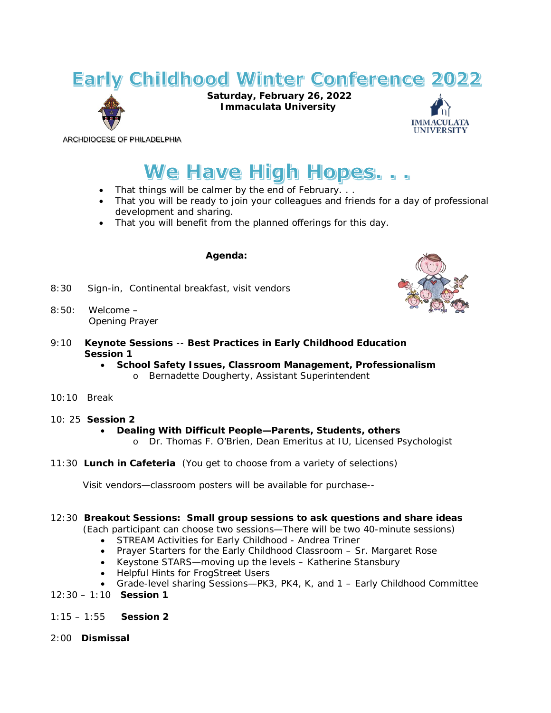## **Early Childhood Winter Conference 2022**



**Saturday, February 26, 2022 Immaculata University**



ARCHDIOCESE OF PHILADELPHIA

# We Have High Hopes...

- That things will be calmer by the end of February. . .
- That you will be ready to join your colleagues and friends for a day of professional development and sharing.
- That you will benefit from the planned offerings for this day.

#### **Agenda:**

- 8:30 Sign-in, Continental breakfast, visit vendors
- $8.50 \cdot$  Welcome Opening Prayer
- 9:10 **Keynote Sessions** -- **Best Practices in Early Childhood Education Session 1**
	- **School Safety Issues, Classroom Management, Professionalism** o Bernadette Dougherty, Assistant Superintendent
- 10:10 Break
- 10: 25 **Session 2**

#### • **Dealing With Difficult People—Parents, Students, others**

- o Dr. Thomas F. O'Brien, Dean Emeritus at IU, Licensed Psychologist
- 11:30 **Lunch in Cafeteria** (You get to choose from a variety of selections)

Visit vendors—classroom posters will be available for purchase--

#### 12:30 **Breakout Sessions: Small group sessions to ask questions and share ideas**

(Each participant can choose two sessions—There will be two 40-minute sessions)

- STREAM Activities for Early Childhood Andrea Triner
- Prayer Starters for the Early Childhood Classroom Sr. Margaret Rose
- Keystone STARS—moving up the levels Katherine Stansbury
- Helpful Hints for FrogStreet Users
- Grade-level sharing Sessions—PK3, PK4, K, and 1 Early Childhood Committee
- 12:30 1:10 **Session 1**
- 1:15 1:55 **Session 2**
- 2:00 **Dismissal**